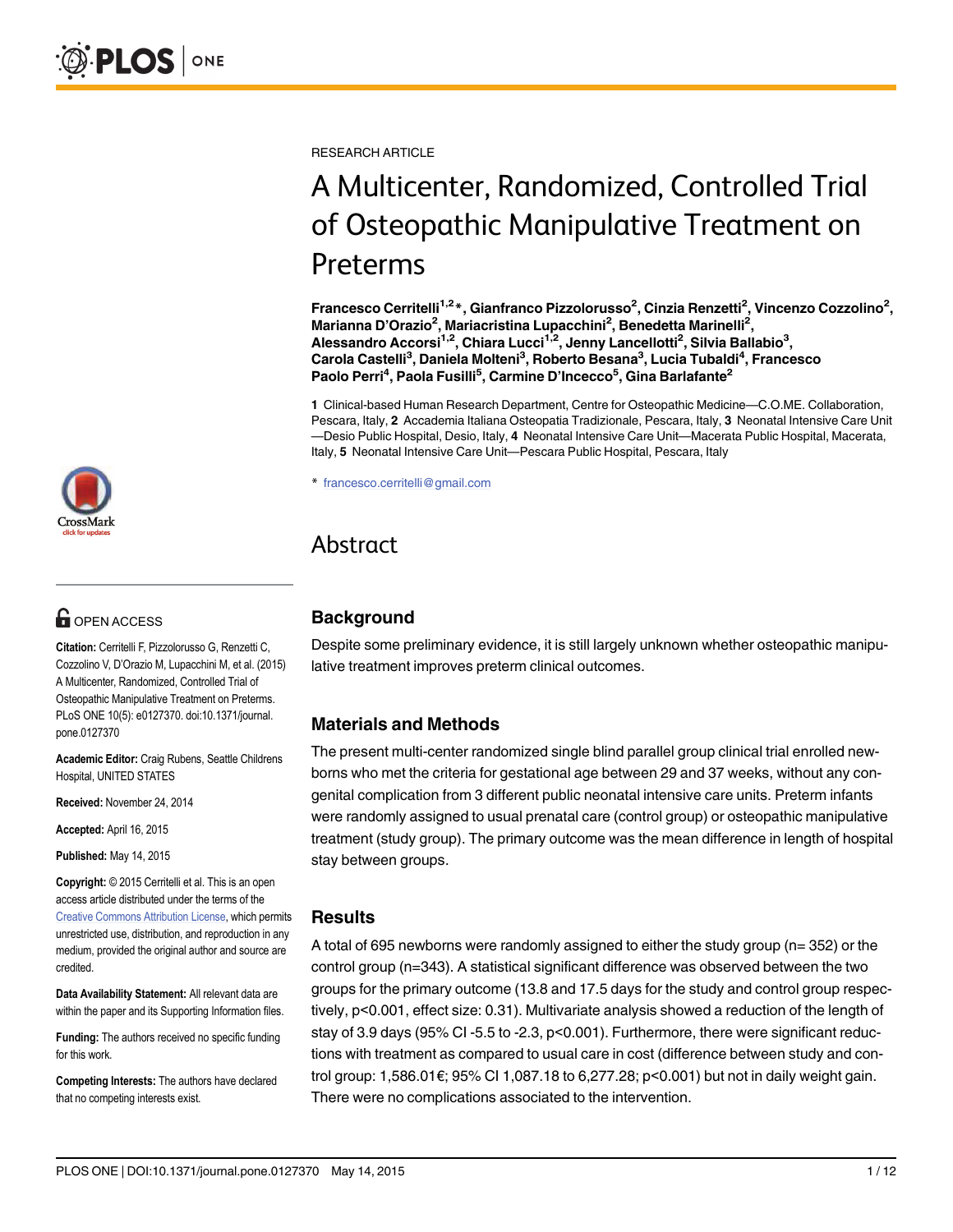

# **G** OPEN ACCESS

Citation: Cerritelli F, Pizzolorusso G, Renzetti C, Cozzolino V, D'Orazio M, Lupacchini M, et al. (2015) A Multicenter, Randomized, Controlled Trial of Osteopathic Manipulative Treatment on Preterms. PLoS ONE 10(5): e0127370. doi:10.1371/journal. pone.0127370

Academic Editor: Craig Rubens, Seattle Childrens Hospital, UNITED STATES

Received: November 24, 2014

Accepted: April 16, 2015

Published: May 14, 2015

Copyright: © 2015 Cerritelli et al. This is an open access article distributed under the terms of the [Creative Commons Attribution License,](http://creativecommons.org/licenses/by/4.0/) which permits unrestricted use, distribution, and reproduction in any medium, provided the original author and source are credited.

Data Availability Statement: All relevant data are within the paper and its Supporting Information files.

Funding: The authors received no specific funding for this work.

Competing Interests: The authors have declared that no competing interests exist.

RESEARCH ARTICLE

# A Multicenter, Randomized, Controlled Trial of Osteopathic Manipulative Treatment on Preterms

Francesco Cerritelli<sup>1,2</sup>\*, Gianfranco Pizzolorusso<sup>2</sup>, Cinzia Renzetti<sup>2</sup>, Vincenzo Cozzolino<sup>2</sup>, Marianna D'Orazio<sup>2</sup>, Mariacristina Lupacchini<sup>2</sup>, Benedetta Marinelli<sup>2</sup>, Alessandro Accorsi<sup>1,2</sup>, Chiara Lucci<sup>1,2</sup>, Jenny Lancellotti<sup>2</sup>, Silvia Ballabio<sup>3</sup>, Carola Castelli<sup>3</sup>, Daniela Molteni<sup>3</sup>, Roberto Besana<sup>3</sup>, Lucia Tubaldi<sup>4</sup>, Francesco Paolo Perri<sup>4</sup>, Paola Fusilli<sup>5</sup>, Carmine D'Incecco<sup>5</sup>, Gina Barlafante<sup>2</sup>

1 Clinical-based Human Research Department, Centre for Osteopathic Medicine—C.O.ME. Collaboration, Pescara, Italy, 2 Accademia Italiana Osteopatia Tradizionale, Pescara, Italy, 3 Neonatal Intensive Care Unit —Desio Public Hospital, Desio, Italy, 4 Neonatal Intensive Care Unit—Macerata Public Hospital, Macerata, Italy, 5 Neonatal Intensive Care Unit—Pescara Public Hospital, Pescara, Italy

\* francesco.cerritelli@gmail.com

# Abstract

# **Background**

Despite some preliminary evidence, it is still largely unknown whether osteopathic manipulative treatment improves preterm clinical outcomes.

# Materials and Methods

The present multi-center randomized single blind parallel group clinical trial enrolled newborns who met the criteria for gestational age between 29 and 37 weeks, without any congenital complication from 3 different public neonatal intensive care units. Preterm infants were randomly assigned to usual prenatal care (control group) or osteopathic manipulative treatment (study group). The primary outcome was the mean difference in length of hospital stay between groups.

#### Results

A total of 695 newborns were randomly assigned to either the study group (n= 352) or the control group (n=343). A statistical significant difference was observed between the two groups for the primary outcome (13.8 and 17.5 days for the study and control group respectively, p<0.001, effect size: 0.31). Multivariate analysis showed a reduction of the length of stay of 3.9 days (95% CI -5.5 to -2.3, p<0.001). Furthermore, there were significant reductions with treatment as compared to usual care in cost (difference between study and control group: 1,586.01€; 95% CI 1,087.18 to 6,277.28; p<0.001) but not in daily weight gain. There were no complications associated to the intervention.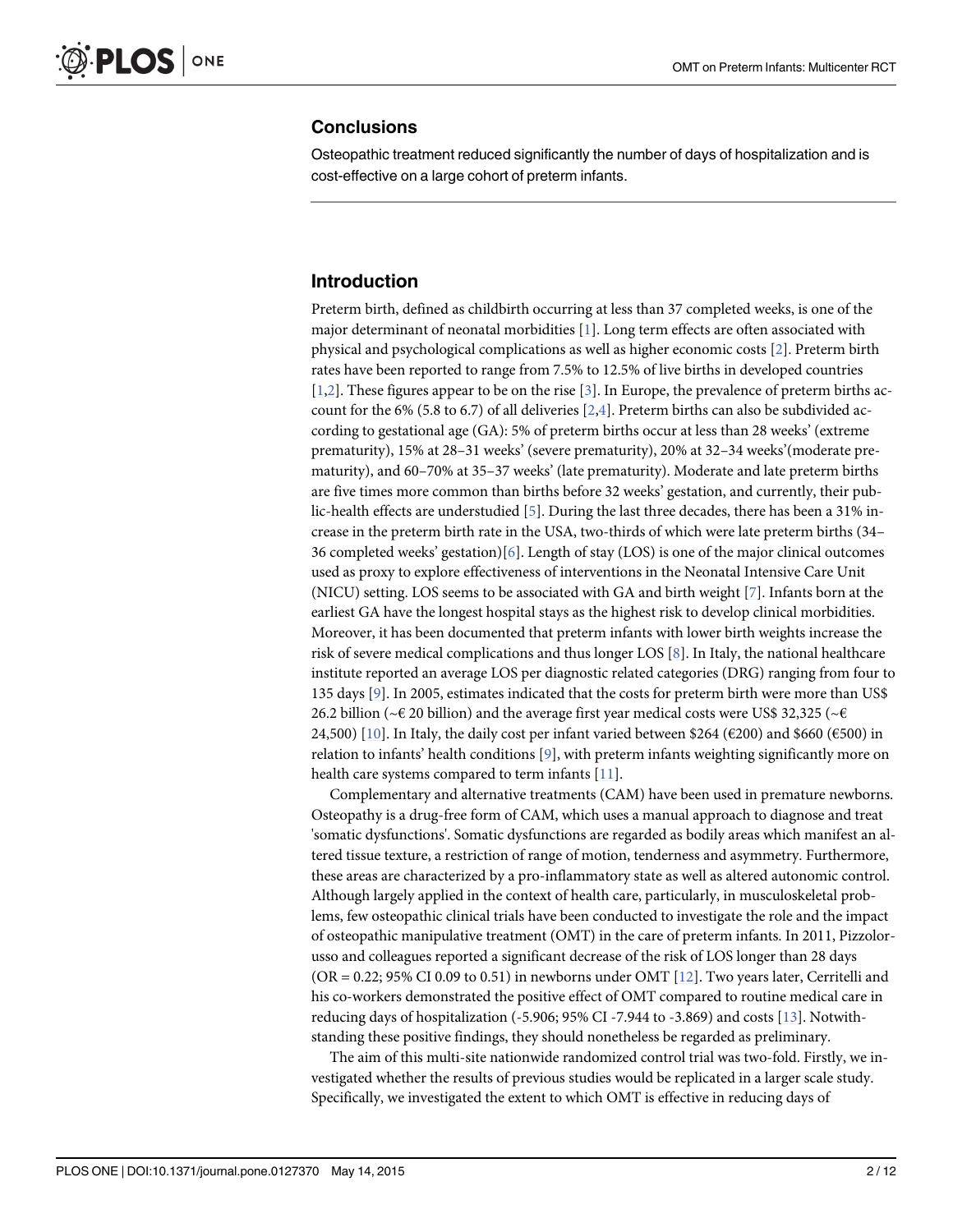#### <span id="page-1-0"></span>**Conclusions**

Osteopathic treatment reduced significantly the number of days of hospitalization and is cost-effective on a large cohort of preterm infants.

# Introduction

Preterm birth, defined as childbirth occurring at less than 37 completed weeks, is one of the major determinant of neonatal morbidities  $[1]$  $[1]$ . Long term effects are often associated with physical and psychological complications as well as higher economic costs [\[2](#page-10-0)]. Preterm birth rates have been reported to range from 7.5% to 12.5% of live births in developed countries [\[1,2](#page-10-0)]. These figures appear to be on the rise [[3](#page-10-0)]. In Europe, the prevalence of preterm births account for the 6% (5.8 to 6.7) of all deliveries  $[2,4]$  $[2,4]$ . Preterm births can also be subdivided according to gestational age (GA): 5% of preterm births occur at less than 28 weeks' (extreme prematurity), 15% at 28–31 weeks' (severe prematurity), 20% at 32–34 weeks'(moderate prematurity), and 60–70% at 35–37 weeks' (late prematurity). Moderate and late preterm births are five times more common than births before 32 weeks' gestation, and currently, their pub-lic-health effects are understudied [[5\]](#page-10-0). During the last three decades, there has been a 31% increase in the preterm birth rate in the USA, two-thirds of which were late preterm births (34– 36 completed weeks' gestation) $[6]$  $[6]$ . Length of stay (LOS) is one of the major clinical outcomes used as proxy to explore effectiveness of interventions in the Neonatal Intensive Care Unit (NICU) setting. LOS seems to be associated with GA and birth weight [\[7](#page-10-0)]. Infants born at the earliest GA have the longest hospital stays as the highest risk to develop clinical morbidities. Moreover, it has been documented that preterm infants with lower birth weights increase the risk of severe medical complications and thus longer LOS [\[8](#page-10-0)]. In Italy, the national healthcare institute reported an average LOS per diagnostic related categories (DRG) ranging from four to 135 days [\[9\]](#page-10-0). In 2005, estimates indicated that the costs for preterm birth were more than US\$ 26.2 billion ( $\sim \epsilon$  20 billion) and the average first year medical costs were US\$ 32,325 ( $\sim \epsilon$ 24,500) [\[10\]](#page-10-0). In Italy, the daily cost per infant varied between \$264 (€200) and \$660 (€500) in relation to infants' health conditions [[9](#page-10-0)], with preterm infants weighting significantly more on health care systems compared to term infants [\[11\]](#page-10-0).

Complementary and alternative treatments (CAM) have been used in premature newborns. Osteopathy is a drug-free form of CAM, which uses a manual approach to diagnose and treat 'somatic dysfunctions'. Somatic dysfunctions are regarded as bodily areas which manifest an altered tissue texture, a restriction of range of motion, tenderness and asymmetry. Furthermore, these areas are characterized by a pro-inflammatory state as well as altered autonomic control. Although largely applied in the context of health care, particularly, in musculoskeletal problems, few osteopathic clinical trials have been conducted to investigate the role and the impact of osteopathic manipulative treatment (OMT) in the care of preterm infants. In 2011, Pizzolorusso and colleagues reported a significant decrease of the risk of LOS longer than 28 days (OR = 0.22; 95% CI 0.09 to 0.51) in newborns under OMT  $[12]$ . Two years later, Cerritelli and his co-workers demonstrated the positive effect of OMT compared to routine medical care in reducing days of hospitalization (-5.906; 95% CI -7.944 to -3.869) and costs [[13\]](#page-10-0). Notwithstanding these positive findings, they should nonetheless be regarded as preliminary.

The aim of this multi-site nationwide randomized control trial was two-fold. Firstly, we investigated whether the results of previous studies would be replicated in a larger scale study. Specifically, we investigated the extent to which OMT is effective in reducing days of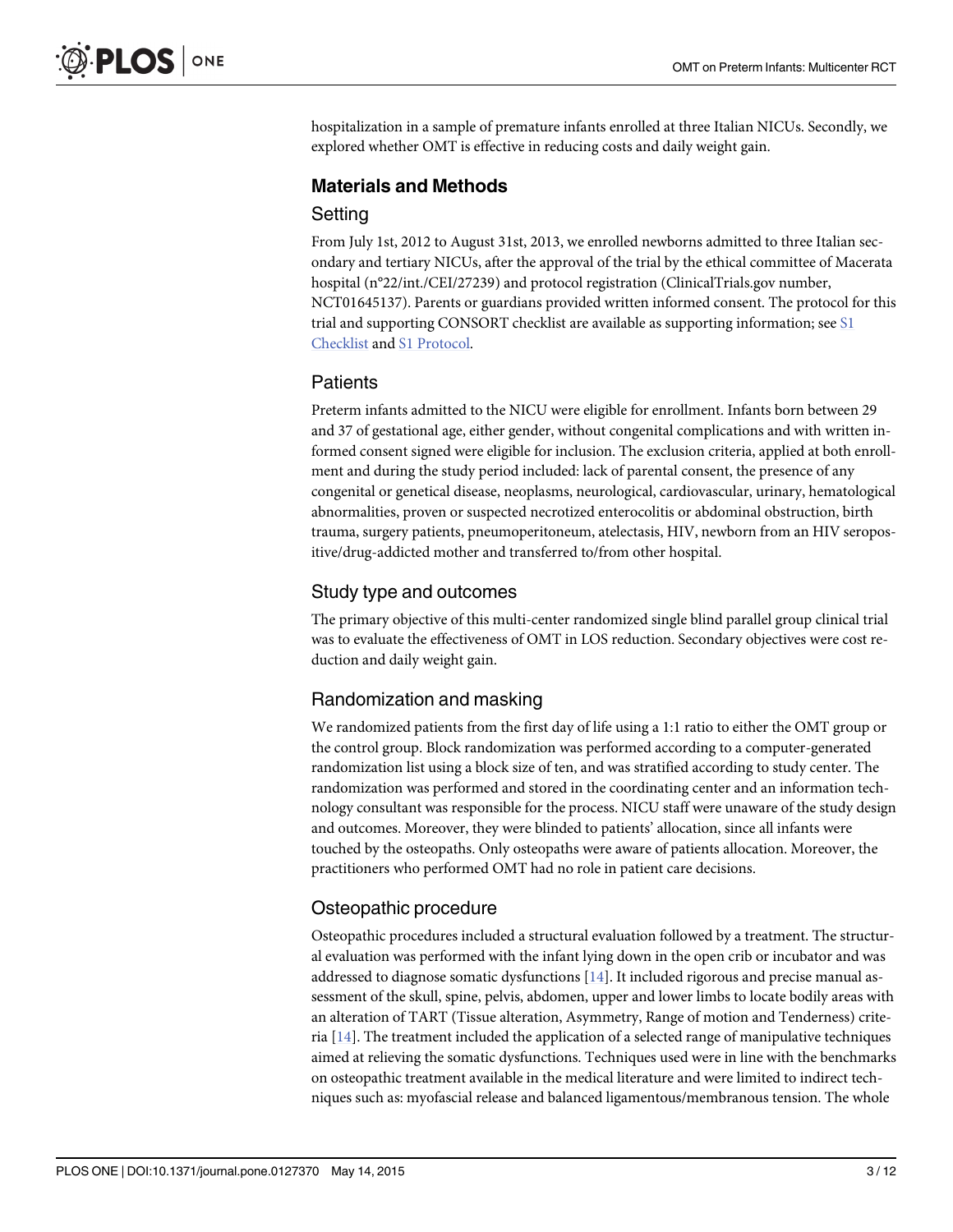<span id="page-2-0"></span>hospitalization in a sample of premature infants enrolled at three Italian NICUs. Secondly, we explored whether OMT is effective in reducing costs and daily weight gain.

# Materials and Methods

#### **Setting**

From July 1st, 2012 to August 31st, 2013, we enrolled newborns admitted to three Italian secondary and tertiary NICUs, after the approval of the trial by the ethical committee of Macerata hospital (n°22/int./CEI/27239) and protocol registration (ClinicalTrials.gov number, NCT01645137). Parents or guardians provided written informed consent. The protocol for this trial and supporting CONSORT checklist are available as supporting information; see [S1](#page-9-0) [Checklist](#page-9-0) and [S1 Protocol](#page-9-0).

#### **Patients**

Preterm infants admitted to the NICU were eligible for enrollment. Infants born between 29 and 37 of gestational age, either gender, without congenital complications and with written informed consent signed were eligible for inclusion. The exclusion criteria, applied at both enrollment and during the study period included: lack of parental consent, the presence of any congenital or genetical disease, neoplasms, neurological, cardiovascular, urinary, hematological abnormalities, proven or suspected necrotized enterocolitis or abdominal obstruction, birth trauma, surgery patients, pneumoperitoneum, atelectasis, HIV, newborn from an HIV seropositive/drug-addicted mother and transferred to/from other hospital.

#### Study type and outcomes

The primary objective of this multi-center randomized single blind parallel group clinical trial was to evaluate the effectiveness of OMT in LOS reduction. Secondary objectives were cost reduction and daily weight gain.

# Randomization and masking

We randomized patients from the first day of life using a 1:1 ratio to either the OMT group or the control group. Block randomization was performed according to a computer-generated randomization list using a block size of ten, and was stratified according to study center. The randomization was performed and stored in the coordinating center and an information technology consultant was responsible for the process. NICU staff were unaware of the study design and outcomes. Moreover, they were blinded to patients' allocation, since all infants were touched by the osteopaths. Only osteopaths were aware of patients allocation. Moreover, the practitioners who performed OMT had no role in patient care decisions.

### Osteopathic procedure

Osteopathic procedures included a structural evaluation followed by a treatment. The structural evaluation was performed with the infant lying down in the open crib or incubator and was addressed to diagnose somatic dysfunctions  $[14]$  $[14]$  $[14]$ . It included rigorous and precise manual assessment of the skull, spine, pelvis, abdomen, upper and lower limbs to locate bodily areas with an alteration of TART (Tissue alteration, Asymmetry, Range of motion and Tenderness) criteria [\[14\]](#page-10-0). The treatment included the application of a selected range of manipulative techniques aimed at relieving the somatic dysfunctions. Techniques used were in line with the benchmarks on osteopathic treatment available in the medical literature and were limited to indirect techniques such as: myofascial release and balanced ligamentous/membranous tension. The whole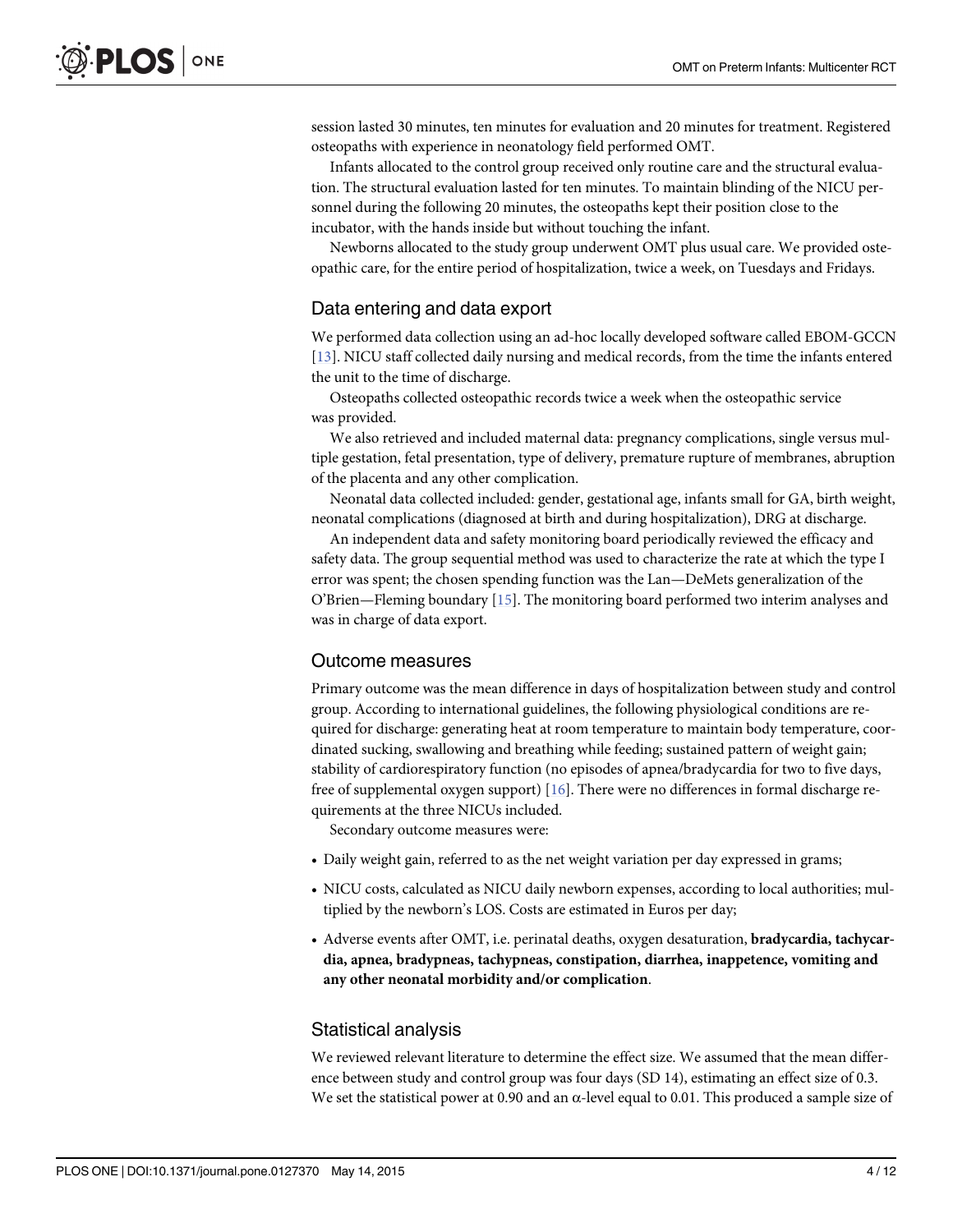<span id="page-3-0"></span>session lasted 30 minutes, ten minutes for evaluation and 20 minutes for treatment. Registered osteopaths with experience in neonatology field performed OMT.

Infants allocated to the control group received only routine care and the structural evaluation. The structural evaluation lasted for ten minutes. To maintain blinding of the NICU personnel during the following 20 minutes, the osteopaths kept their position close to the incubator, with the hands inside but without touching the infant.

Newborns allocated to the study group underwent OMT plus usual care. We provided osteopathic care, for the entire period of hospitalization, twice a week, on Tuesdays and Fridays.

#### Data entering and data export

We performed data collection using an ad-hoc locally developed software called EBOM-GCCN [\[13](#page-10-0)]. NICU staff collected daily nursing and medical records, from the time the infants entered the unit to the time of discharge.

Osteopaths collected osteopathic records twice a week when the osteopathic service was provided.

We also retrieved and included maternal data: pregnancy complications, single versus multiple gestation, fetal presentation, type of delivery, premature rupture of membranes, abruption of the placenta and any other complication.

Neonatal data collected included: gender, gestational age, infants small for GA, birth weight, neonatal complications (diagnosed at birth and during hospitalization), DRG at discharge.

An independent data and safety monitoring board periodically reviewed the efficacy and safety data. The group sequential method was used to characterize the rate at which the type I error was spent; the chosen spending function was the Lan—DeMets generalization of the O'Brien—Fleming boundary  $[15]$ . The monitoring board performed two interim analyses and was in charge of data export.

#### Outcome measures

Primary outcome was the mean difference in days of hospitalization between study and control group. According to international guidelines, the following physiological conditions are required for discharge: generating heat at room temperature to maintain body temperature, coordinated sucking, swallowing and breathing while feeding; sustained pattern of weight gain; stability of cardiorespiratory function (no episodes of apnea/bradycardia for two to five days, free of supplemental oxygen support) [[16](#page-10-0)]. There were no differences in formal discharge requirements at the three NICUs included.

Secondary outcome measures were:

- Daily weight gain, referred to as the net weight variation per day expressed in grams;
- NICU costs, calculated as NICU daily newborn expenses, according to local authorities; multiplied by the newborn's LOS. Costs are estimated in Euros per day;
- Adverse events after OMT, i.e. perinatal deaths, oxygen desaturation, bradycardia, tachycardia, apnea, bradypneas, tachypneas, constipation, diarrhea, inappetence, vomiting and any other neonatal morbidity and/or complication.

#### Statistical analysis

We reviewed relevant literature to determine the effect size. We assumed that the mean difference between study and control group was four days (SD 14), estimating an effect size of 0.3. We set the statistical power at 0.90 and an  $\alpha$ -level equal to 0.01. This produced a sample size of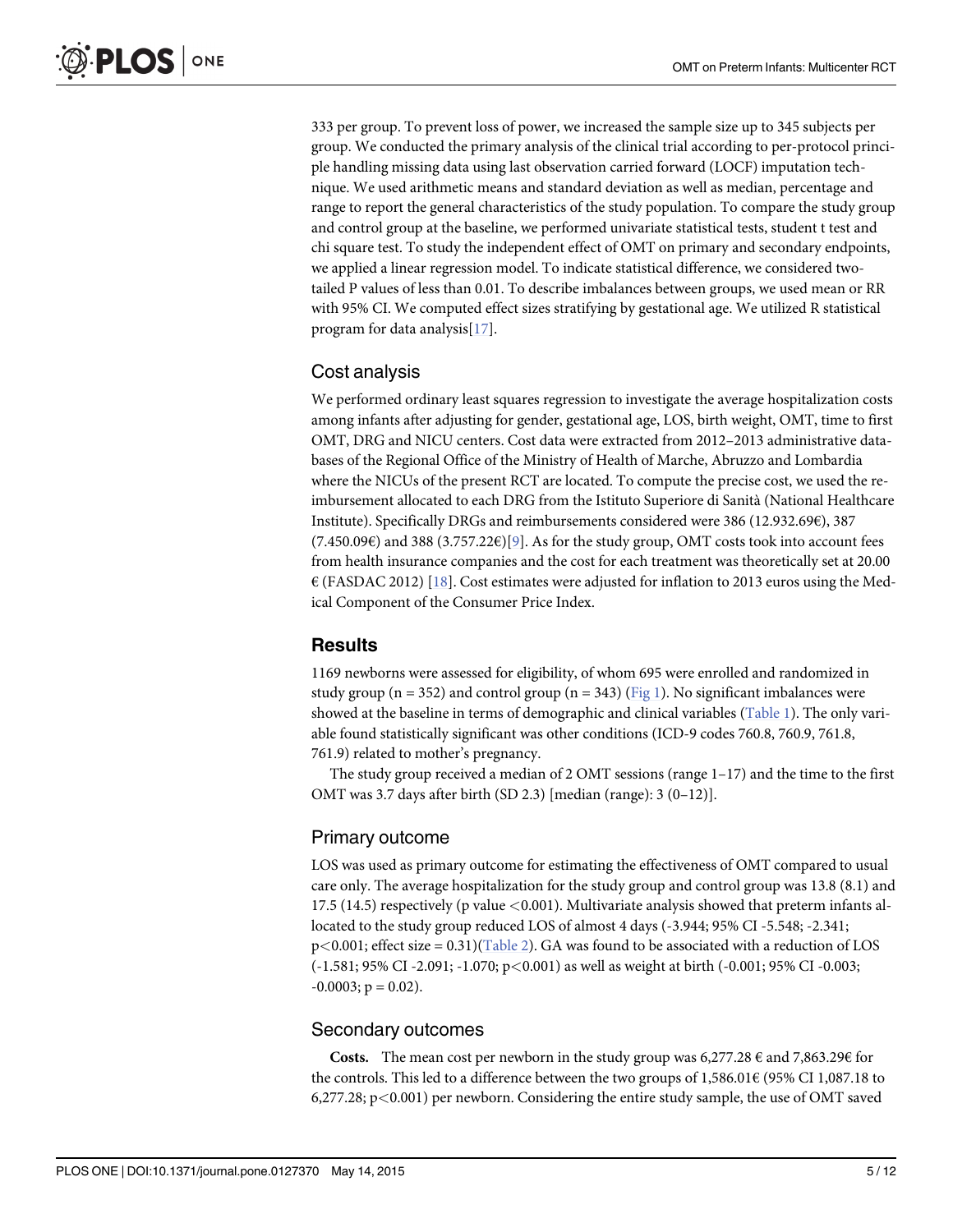<span id="page-4-0"></span>333 per group. To prevent loss of power, we increased the sample size up to 345 subjects per group. We conducted the primary analysis of the clinical trial according to per-protocol principle handling missing data using last observation carried forward (LOCF) imputation technique. We used arithmetic means and standard deviation as well as median, percentage and range to report the general characteristics of the study population. To compare the study group and control group at the baseline, we performed univariate statistical tests, student t test and chi square test. To study the independent effect of OMT on primary and secondary endpoints, we applied a linear regression model. To indicate statistical difference, we considered twotailed P values of less than 0.01. To describe imbalances between groups, we used mean or RR with 95% CI. We computed effect sizes stratifying by gestational age. We utilized R statistical program for data analysis[\[17](#page-10-0)].

### Cost analysis

We performed ordinary least squares regression to investigate the average hospitalization costs among infants after adjusting for gender, gestational age, LOS, birth weight, OMT, time to first OMT, DRG and NICU centers. Cost data were extracted from 2012–2013 administrative databases of the Regional Office of the Ministry of Health of Marche, Abruzzo and Lombardia where the NICUs of the present RCT are located. To compute the precise cost, we used the reimbursement allocated to each DRG from the Istituto Superiore di Sanità (National Healthcare Institute). Specifically DRGs and reimbursements considered were 386 (12.932.69€), 387  $(7.450.09\epsilon)$  and 388  $(3.757.22\epsilon)[9]$  $(3.757.22\epsilon)[9]$ . As for the study group, OMT costs took into account fees from health insurance companies and the cost for each treatment was theoretically set at 20.00  $\epsilon$  (FASDAC 2012) [\[18\]](#page-10-0). Cost estimates were adjusted for inflation to 2013 euros using the Medical Component of the Consumer Price Index.

#### **Results**

1169 newborns were assessed for eligibility, of whom 695 were enrolled and randomized in study group ( $n = 352$ ) and control group ( $n = 343$ ) [\(Fig 1\)](#page-5-0). No significant imbalances were showed at the baseline in terms of demographic and clinical variables ([Table 1](#page-6-0)). The only variable found statistically significant was other conditions (ICD-9 codes 760.8, 760.9, 761.8, 761.9) related to mother's pregnancy.

The study group received a median of 2 OMT sessions (range  $1-17$ ) and the time to the first OMT was 3.7 days after birth (SD 2.3) [median (range): 3 (0–12)].

#### Primary outcome

LOS was used as primary outcome for estimating the effectiveness of OMT compared to usual care only. The average hospitalization for the study group and control group was 13.8 (8.1) and 17.5 (14.5) respectively (p value <0.001). Multivariate analysis showed that preterm infants allocated to the study group reduced LOS of almost 4 days (-3.944; 95% CI -5.548; -2.341;  $p<0.001$ ; effect size = 0.31)[\(Table 2\)](#page-7-0). GA was found to be associated with a reduction of LOS (-1.581; 95% CI -2.091; -1.070; p<0.001) as well as weight at birth (-0.001; 95% CI -0.003;  $-0.0003$ ;  $p = 0.02$ ).

#### Secondary outcomes

**Costs.** The mean cost per newborn in the study group was  $6,277.28 \notin$  and  $7,863.29 \notin$  for the controls. This led to a difference between the two groups of 1,586.01 $\in$  (95% CI 1,087.18 to 6,277.28; p<0.001) per newborn. Considering the entire study sample, the use of OMT saved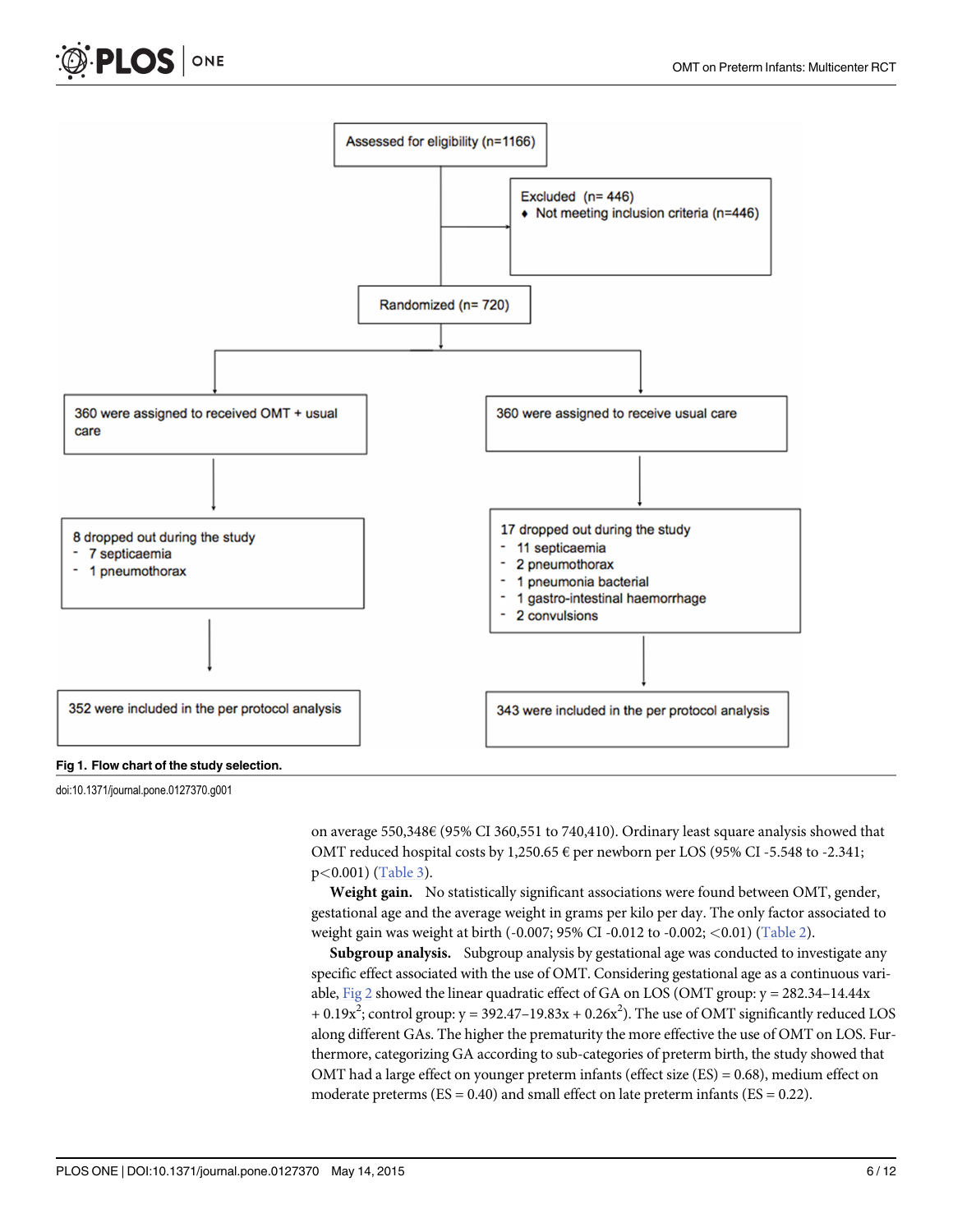<span id="page-5-0"></span>



doi:10.1371/journal.pone.0127370.g001

on average 550,348€ (95% CI 360,551 to 740,410). Ordinary least square analysis showed that OMT reduced hospital costs by 1,250.65  $\epsilon$  per newborn per LOS (95% CI -5.548 to -2.341; p<0.001) [\(Table 3\)](#page-7-0).

Weight gain. No statistically significant associations were found between OMT, gender, gestational age and the average weight in grams per kilo per day. The only factor associated to weight gain was weight at birth (-0.007; 95% CI -0.012 to -0.002; <0.01) [\(Table 2](#page-7-0)).

Subgroup analysis. Subgroup analysis by gestational age was conducted to investigate any specific effect associated with the use of OMT. Considering gestational age as a continuous variable,  $Fig 2$  showed the linear quadratic effect of GA on LOS (OMT group:  $y = 282.34 - 14.44x$  $+ 0.19x^2$ ; control group: y = 392.47–19.83x + 0.26x<sup>2</sup>). The use of OMT significantly reduced LOS along different GAs. The higher the prematurity the more effective the use of OMT on LOS. Furthermore, categorizing GA according to sub-categories of preterm birth, the study showed that OMT had a large effect on younger preterm infants (effect size  $(ES) = 0.68$ ), medium effect on moderate preterms  $(ES = 0.40)$  and small effect on late preterm infants  $(ES = 0.22)$ .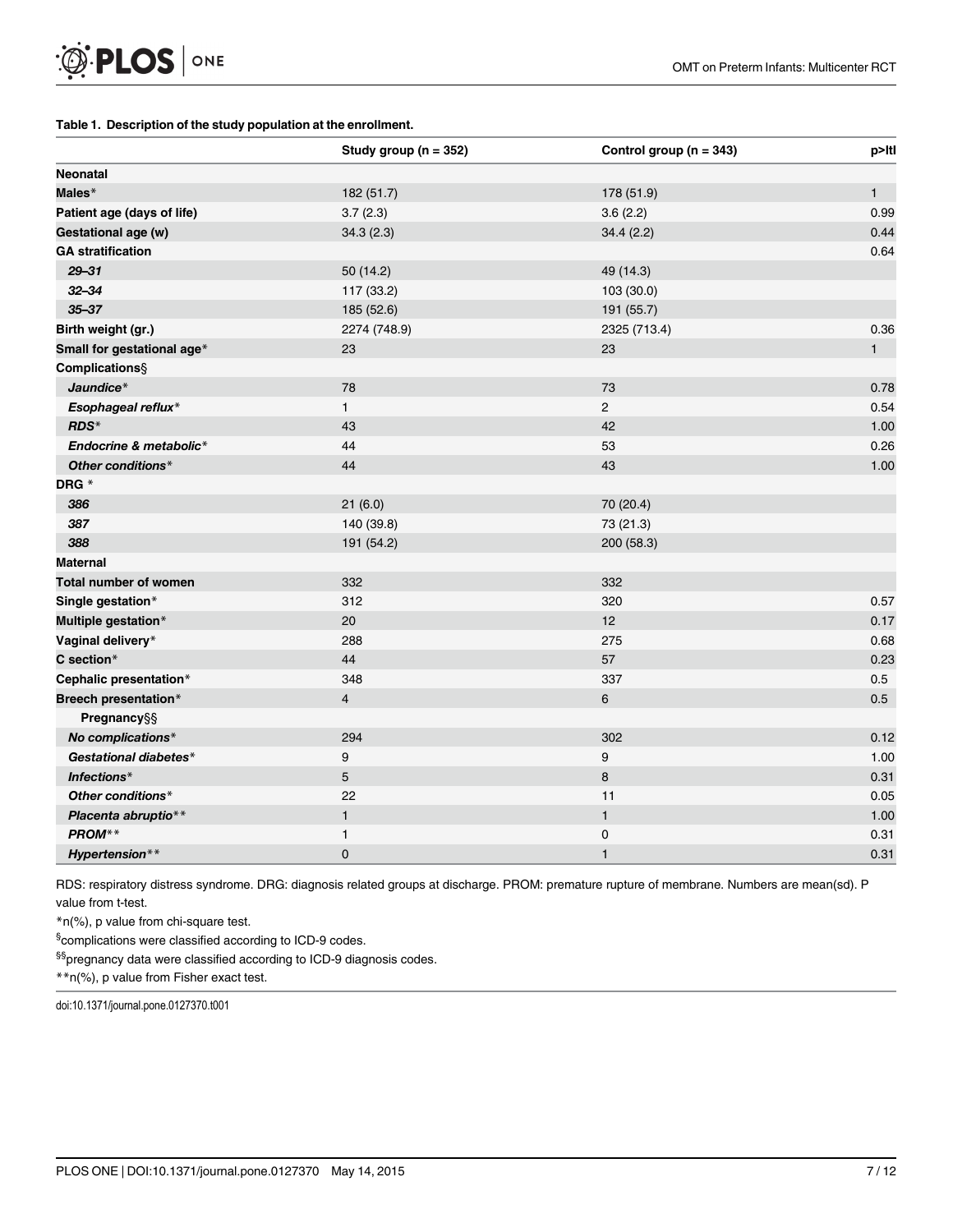#### <span id="page-6-0"></span>[Table 1.](#page-4-0) Description of the study population at the enrollment.

|                            | Study group ( $n = 352$ ) | Control group ( $n = 343$ ) | p>Itl |
|----------------------------|---------------------------|-----------------------------|-------|
| <b>Neonatal</b>            |                           |                             |       |
| Males*                     | 182 (51.7)                | 178 (51.9)                  | 1     |
| Patient age (days of life) | 3.7(2.3)                  | 3.6(2.2)                    | 0.99  |
| Gestational age (w)        | 34.3(2.3)                 | 34.4(2.2)                   | 0.44  |
| <b>GA</b> stratification   |                           |                             | 0.64  |
| $29 - 31$                  | 50 (14.2)                 | 49 (14.3)                   |       |
| $32 - 34$                  | 117 (33.2)                | 103 (30.0)                  |       |
| $35 - 37$                  | 185 (52.6)                | 191 (55.7)                  |       |
| Birth weight (gr.)         | 2274 (748.9)              | 2325 (713.4)                | 0.36  |
| Small for gestational age* | 23                        | 23                          | 1     |
| Complications§             |                           |                             |       |
| Jaundice*                  | 78                        | 73                          | 0.78  |
| Esophageal reflux*         | $\mathbf{1}$              | $\overline{2}$              | 0.54  |
| RDS*                       | 43                        | 42                          | 1.00  |
| Endocrine & metabolic*     | 44                        | 53                          | 0.26  |
| Other conditions*          | 44                        | 43                          | 1.00  |
| DRG *                      |                           |                             |       |
| 386                        | 21(6.0)                   | 70 (20.4)                   |       |
| 387                        | 140 (39.8)                | 73 (21.3)                   |       |
| 388                        | 191 (54.2)                | 200 (58.3)                  |       |
| Maternal                   |                           |                             |       |
| Total number of women      | 332                       | 332                         |       |
| Single gestation*          | 312                       | 320                         | 0.57  |
| Multiple gestation*        | 20                        | 12                          | 0.17  |
| Vaginal delivery*          | 288                       | 275                         | 0.68  |
| C section*                 | 44                        | 57                          | 0.23  |
| Cephalic presentation*     | 348                       | 337                         | 0.5   |
| Breech presentation*       | $\overline{4}$            | 6                           | 0.5   |
| Pregnancy§§                |                           |                             |       |
| No complications*          | 294                       | 302                         | 0.12  |
| Gestational diabetes*      | 9                         | 9                           | 1.00  |
| Infections*                | 5                         | $\bf 8$                     | 0.31  |
| Other conditions*          | 22                        | 11                          | 0.05  |
| Placenta abruptio**        | $\mathbf{1}$              | $\mathbf{1}$                | 1.00  |
| PROM**                     | $\mathbf{1}$              | $\mathsf 0$                 | 0.31  |
| Hypertension**             | $\mathbf 0$               | 1                           | 0.31  |

RDS: respiratory distress syndrome. DRG: diagnosis related groups at discharge. PROM: premature rupture of membrane. Numbers are mean(sd). P value from t-test.

\*n(%), p value from chi-square test.

§complications were classified according to ICD-9 codes.

§§pregnancy data were classified according to ICD-9 diagnosis codes.

\*\*n(%), p value from Fisher exact test.

doi:10.1371/journal.pone.0127370.t001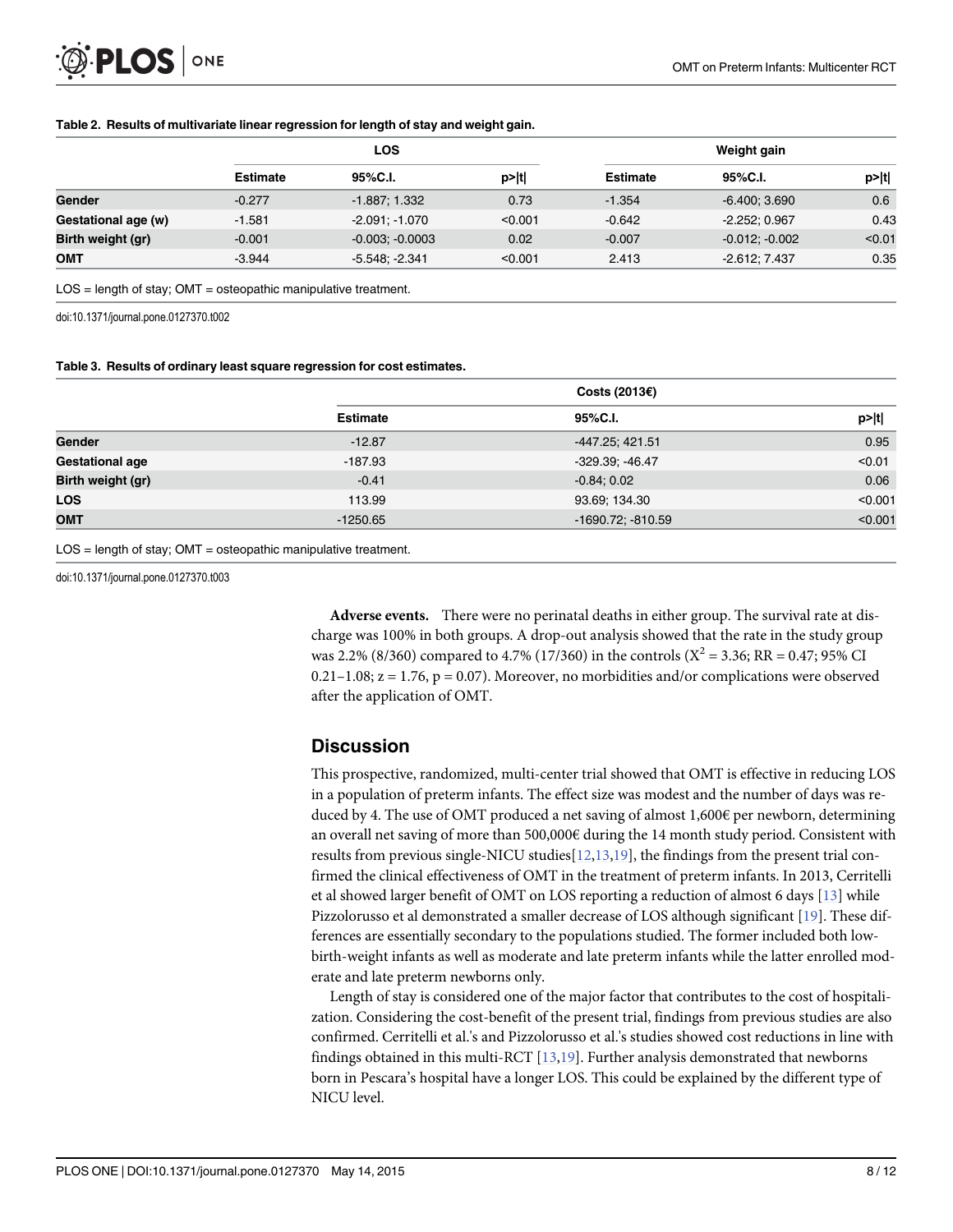<span id="page-7-0"></span>

| <b>LOS</b>      |                   | Weight gain |                 |                  |        |
|-----------------|-------------------|-------------|-----------------|------------------|--------|
| <b>Estimate</b> | 95%C.I.           | p> t        | <b>Estimate</b> | 95%C.I.          | p> t   |
| $-0.277$        | $-1.887; 1.332$   | 0.73        | $-1.354$        | $-6.400; 3.690$  | 0.6    |
| $-1.581$        | $-2.091; -1.070$  | < 0.001     | $-0.642$        | $-2.252:0.967$   | 0.43   |
| $-0.001$        | $-0.003; -0.0003$ | 0.02        | $-0.007$        | $-0.012; -0.002$ | < 0.01 |
| $-3.944$        | $-5.548, -2.341$  | < 0.001     | 2.413           | $-2.612; 7.437$  | 0.35   |
|                 |                   |             |                 |                  |        |

#### [Table 2.](#page-4-0) Results of multivariate linear regression for length of stay and weight gain.

 $LOS = length of stay$ ;  $OMT = osteopathic manipulate treatment$ .

doi:10.1371/journal.pone.0127370.t002

#### [Table 3.](#page-5-0) Results of ordinary least square regression for cost estimates.

|                   | Costs (2013 $\varepsilon$ ) |                        |         |  |  |
|-------------------|-----------------------------|------------------------|---------|--|--|
|                   | <b>Estimate</b>             | 95%C.I.                | p> t    |  |  |
| Gender            | $-12.87$                    | -447.25; 421.51        | 0.95    |  |  |
| Gestational age   | $-187.93$                   | $-329.39; -46.47$      | < 0.01  |  |  |
| Birth weight (gr) | $-0.41$                     | $-0.84; 0.02$          | 0.06    |  |  |
| <b>LOS</b>        | 113.99                      | 93.69; 134.30          | < 0.001 |  |  |
| <b>OMT</b>        | $-1250.65$                  | $-1690.72$ ; $-810.59$ | < 0.001 |  |  |

LOS = length of stay; OMT = osteopathic manipulative treatment.

doi:10.1371/journal.pone.0127370.t003

Adverse events. There were no perinatal deaths in either group. The survival rate at discharge was 100% in both groups. A drop-out analysis showed that the rate in the study group was 2.2% (8/360) compared to 4.7% (17/360) in the controls ( $X^2 = 3.36$ ; RR = 0.47; 95% CI 0.21–1.08;  $z = 1.76$ ,  $p = 0.07$ ). Moreover, no morbidities and/or complications were observed after the application of OMT.

#### **Discussion**

This prospective, randomized, multi-center trial showed that OMT is effective in reducing LOS in a population of preterm infants. The effect size was modest and the number of days was reduced by 4. The use of OMT produced a net saving of almost  $1,600 \in \mathbf{per}$  newborn, determining an overall net saving of more than 500,000€ during the 14 month study period. Consistent with results from previous single-NICU studies<sup>[\[12,13,19\]](#page-10-0)</sup>, the findings from the present trial confirmed the clinical effectiveness of OMT in the treatment of preterm infants. In 2013, Cerritelli et al showed larger benefit of OMT on LOS reporting a reduction of almost 6 days [[13](#page-10-0)] while Pizzolorusso et al demonstrated a smaller decrease of LOS although significant [\[19\]](#page-10-0). These differences are essentially secondary to the populations studied. The former included both lowbirth-weight infants as well as moderate and late preterm infants while the latter enrolled moderate and late preterm newborns only.

Length of stay is considered one of the major factor that contributes to the cost of hospitalization. Considering the cost-benefit of the present trial, findings from previous studies are also confirmed. Cerritelli et al.'s and Pizzolorusso et al.'s studies showed cost reductions in line with findings obtained in this multi-RCT  $[13,19]$ . Further analysis demonstrated that newborns born in Pescara's hospital have a longer LOS. This could be explained by the different type of NICU level.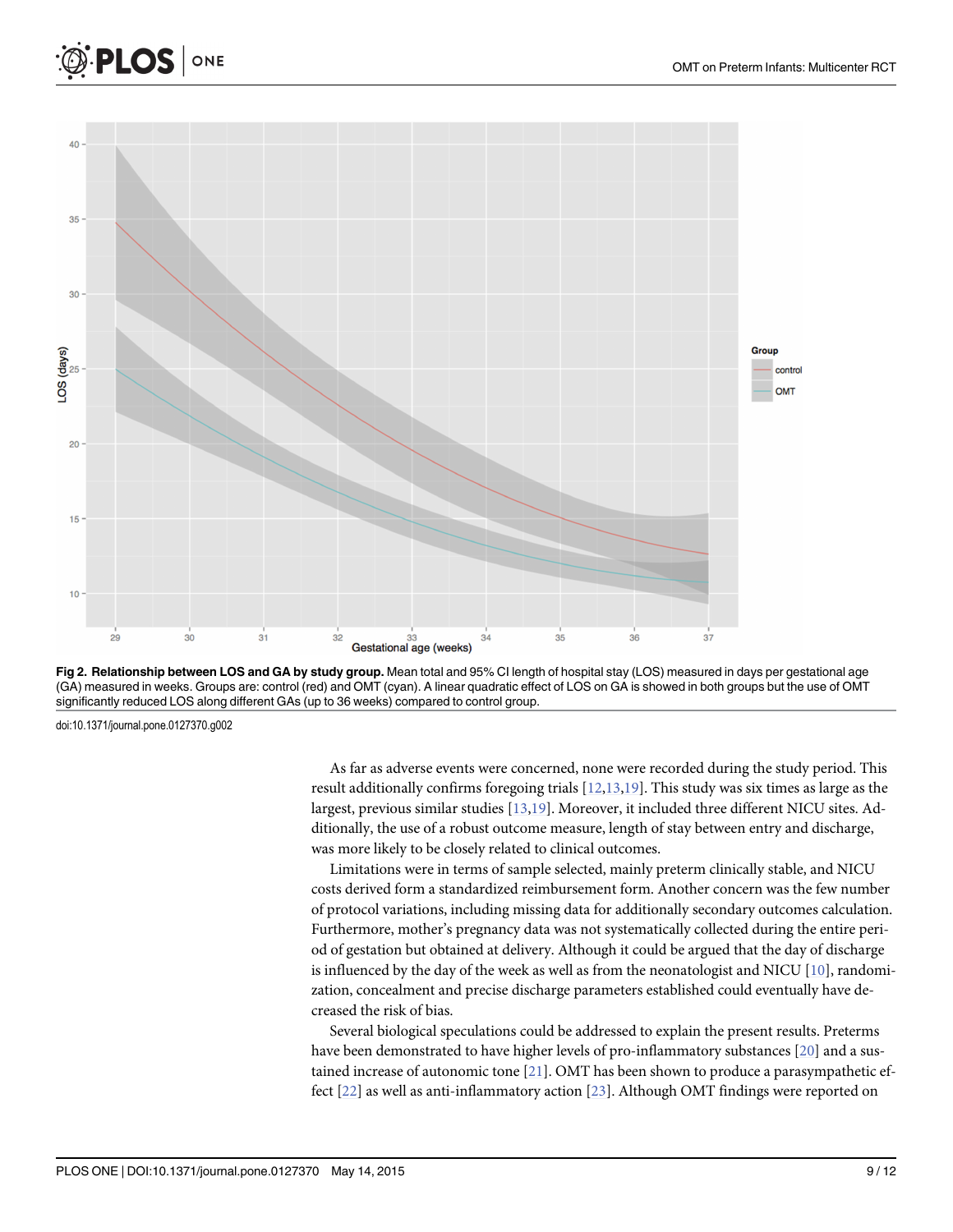

[Fig 2. R](#page-5-0)elationship between LOS and GA by study group. Mean total and 95% CI length of hospital stay (LOS) measured in days per gestational age (GA) measured in weeks. Groups are: control (red) and OMT (cyan). A linear quadratic effect of LOS on GA is showed in both groups but the use of OMT significantly reduced LOS along different GAs (up to 36 weeks) compared to control group.

doi:10.1371/journal.pone.0127370.g002

<span id="page-8-0"></span>**PLOS I** 

ONE

As far as adverse events were concerned, none were recorded during the study period. This result additionally confirms foregoing trials  $[12,13,19]$ . This study was six times as large as the largest, previous similar studies [[13,19\]](#page-10-0). Moreover, it included three different NICU sites. Additionally, the use of a robust outcome measure, length of stay between entry and discharge, was more likely to be closely related to clinical outcomes.

Limitations were in terms of sample selected, mainly preterm clinically stable, and NICU costs derived form a standardized reimbursement form. Another concern was the few number of protocol variations, including missing data for additionally secondary outcomes calculation. Furthermore, mother's pregnancy data was not systematically collected during the entire period of gestation but obtained at delivery. Although it could be argued that the day of discharge is influenced by the day of the week as well as from the neonatologist and NICU  $[10]$  $[10]$  $[10]$ , randomization, concealment and precise discharge parameters established could eventually have decreased the risk of bias.

Several biological speculations could be addressed to explain the present results. Preterms have been demonstrated to have higher levels of pro-inflammatory substances [[20](#page-10-0)] and a sustained increase of autonomic tone  $[21]$  $[21]$  $[21]$ . OMT has been shown to produce a parasympathetic effect [[22](#page-11-0)] as well as anti-inflammatory action [[23\]](#page-11-0). Although OMT findings were reported on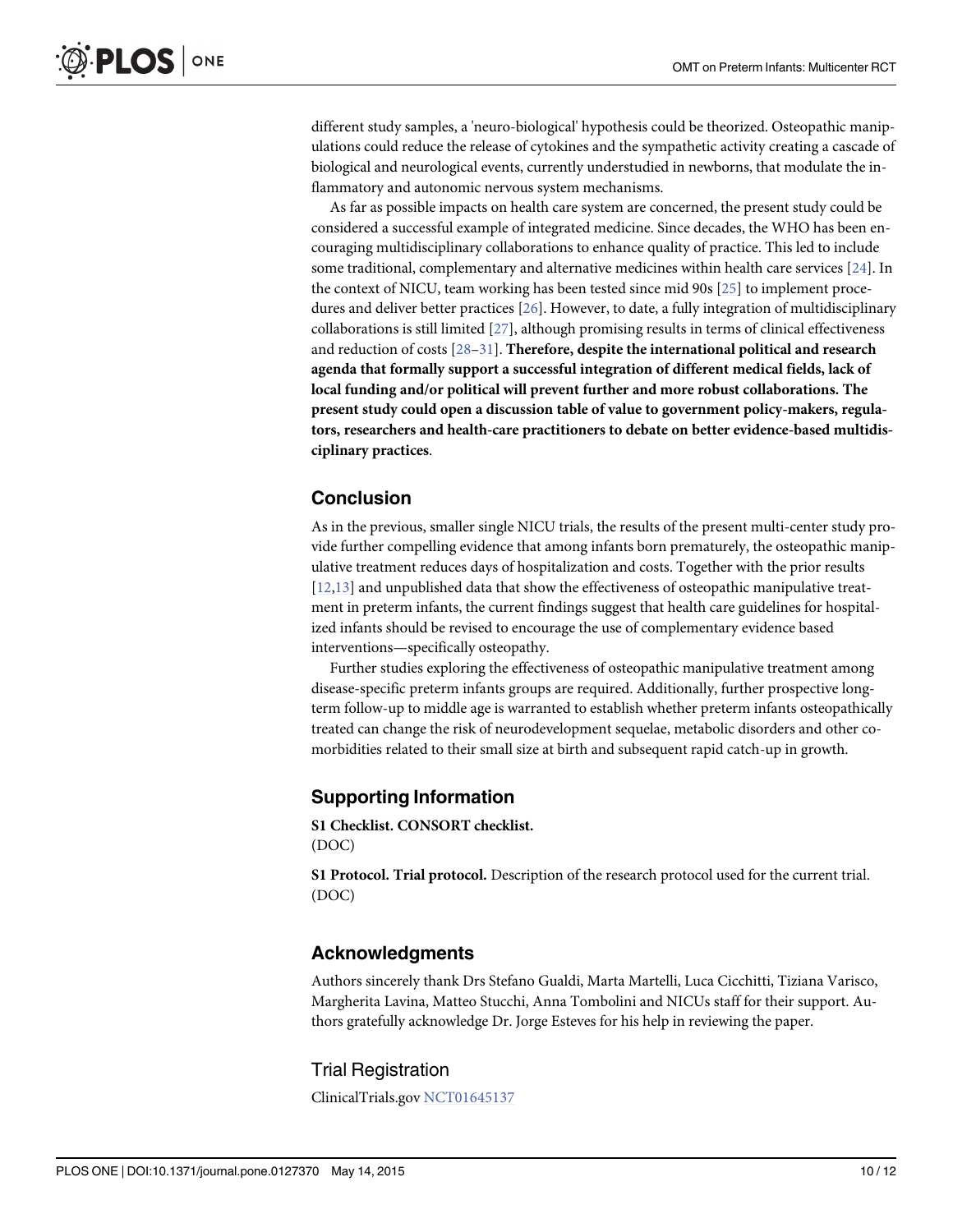<span id="page-9-0"></span>different study samples, a 'neuro-biological' hypothesis could be theorized. Osteopathic manipulations could reduce the release of cytokines and the sympathetic activity creating a cascade of biological and neurological events, currently understudied in newborns, that modulate the inflammatory and autonomic nervous system mechanisms.

As far as possible impacts on health care system are concerned, the present study could be considered a successful example of integrated medicine. Since decades, the WHO has been encouraging multidisciplinary collaborations to enhance quality of practice. This led to include some traditional, complementary and alternative medicines within health care services [[24](#page-11-0)]. In the context of NICU, team working has been tested since mid 90s [[25](#page-11-0)] to implement procedures and deliver better practices [\[26\]](#page-11-0). However, to date, a fully integration of multidisciplinary collaborations is still limited [\[27\]](#page-11-0), although promising results in terms of clinical effectiveness and reduction of costs  $[28-31]$  $[28-31]$  $[28-31]$  $[28-31]$ . Therefore, despite the international political and research agenda that formally support a successful integration of different medical fields, lack of local funding and/or political will prevent further and more robust collaborations. The present study could open a discussion table of value to government policy-makers, regulators, researchers and health-care practitioners to debate on better evidence-based multidisciplinary practices.

# Conclusion

As in the previous, smaller single NICU trials, the results of the present multi-center study provide further compelling evidence that among infants born prematurely, the osteopathic manipulative treatment reduces days of hospitalization and costs. Together with the prior results [\[12,13\]](#page-10-0) and unpublished data that show the effectiveness of osteopathic manipulative treatment in preterm infants, the current findings suggest that health care guidelines for hospitalized infants should be revised to encourage the use of complementary evidence based interventions—specifically osteopathy.

Further studies exploring the effectiveness of osteopathic manipulative treatment among disease-specific preterm infants groups are required. Additionally, further prospective longterm follow-up to middle age is warranted to establish whether preterm infants osteopathically treated can change the risk of neurodevelopment sequelae, metabolic disorders and other comorbidities related to their small size at birth and subsequent rapid catch-up in growth.

#### Supporting Information

[S1 Checklist.](http://www.plosone.org/article/fetchSingleRepresentation.action?uri=info:doi/10.1371/journal.pone.0127370.s001) CONSORT checklist. (DOC)

[S1 Protocol.](http://www.plosone.org/article/fetchSingleRepresentation.action?uri=info:doi/10.1371/journal.pone.0127370.s002) Trial protocol. Description of the research protocol used for the current trial. (DOC)

### Acknowledgments

Authors sincerely thank Drs Stefano Gualdi, Marta Martelli, Luca Cicchitti, Tiziana Varisco, Margherita Lavina, Matteo Stucchi, Anna Tombolini and NICUs staff for their support. Authors gratefully acknowledge Dr. Jorge Esteves for his help in reviewing the paper.

#### Trial Registration

ClinicalTrials.gov [NCT01645137](https://clinicaltrials.gov/ct2/show/NCT01645137?term=NCT01645137&rank=1)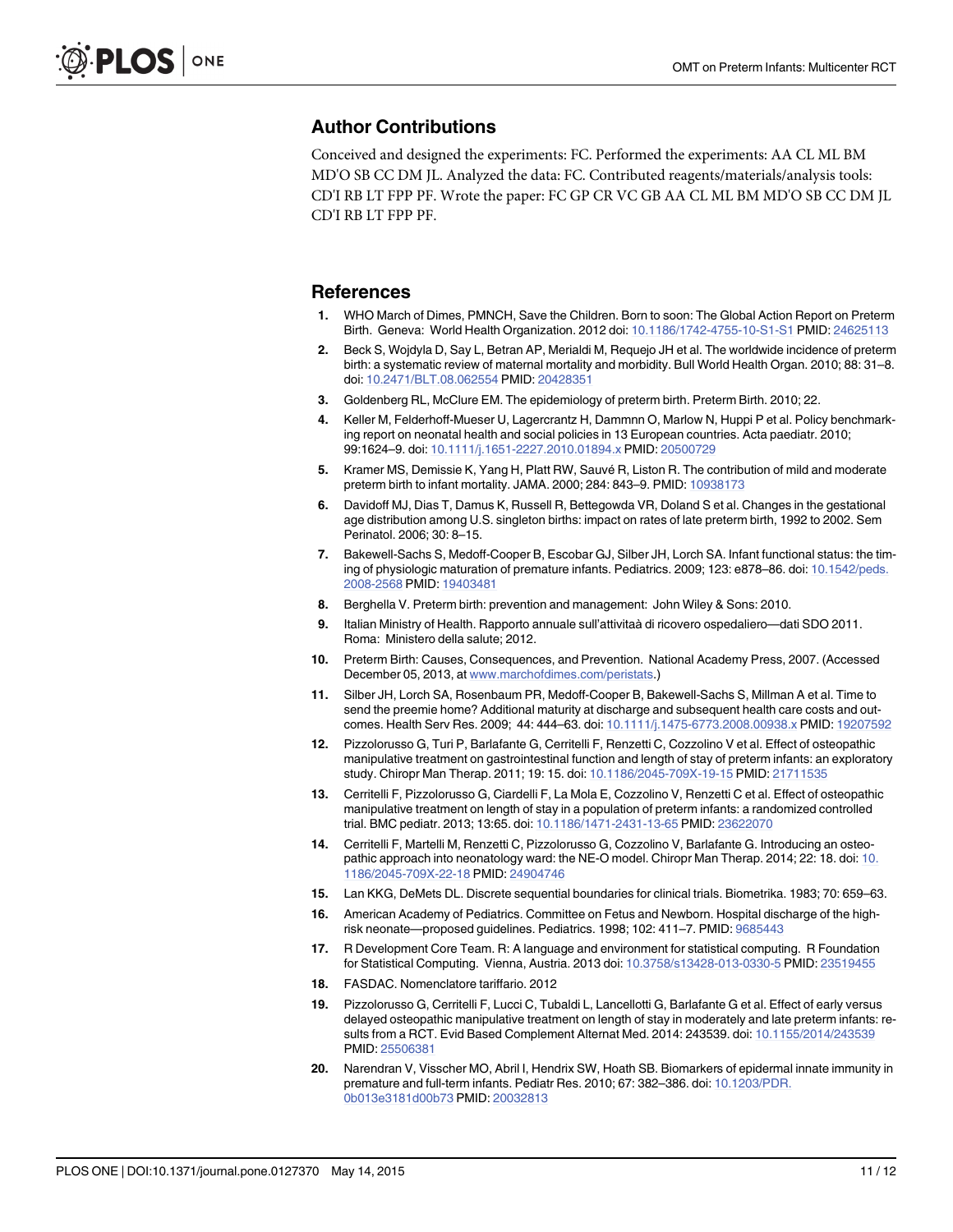#### <span id="page-10-0"></span>Author Contributions

Conceived and designed the experiments: FC. Performed the experiments: AA CL ML BM MD'O SB CC DM JL. Analyzed the data: FC. Contributed reagents/materials/analysis tools: CD'I RB LT FPP PF. Wrote the paper: FC GP CR VC GB AA CL ML BM MD'O SB CC DM JL CD'I RB LT FPP PF.

#### References

- [1.](#page-1-0) WHO March of Dimes, PMNCH, Save the Children. Born to soon: The Global Action Report on Preterm Birth. Geneva: World Health Organization. 2012 doi: [10.1186/1742-4755-10-S1-S1](http://dx.doi.org/10.1186/1742-4755-10-S1-S1) PMID: [24625113](http://www.ncbi.nlm.nih.gov/pubmed/24625113)
- [2.](#page-1-0) Beck S, Wojdyla D, Say L, Betran AP, Merialdi M, Requejo JH et al. The worldwide incidence of preterm birth: a systematic review of maternal mortality and morbidity. Bull World Health Organ. 2010; 88: 31–8. doi: [10.2471/BLT.08.062554](http://dx.doi.org/10.2471/BLT.08.062554) PMID: [20428351](http://www.ncbi.nlm.nih.gov/pubmed/20428351)
- [3.](#page-1-0) Goldenberg RL, McClure EM. The epidemiology of preterm birth. Preterm Birth. 2010; 22.
- [4.](#page-1-0) Keller M, Felderhoff-Mueser U, Lagercrantz H, Dammnn O, Marlow N, Huppi P et al. Policy benchmarking report on neonatal health and social policies in 13 European countries. Acta paediatr. 2010; 99:1624–9. doi: [10.1111/j.1651-2227.2010.01894.x](http://dx.doi.org/10.1111/j.1651-2227.2010.01894.x) PMID: [20500729](http://www.ncbi.nlm.nih.gov/pubmed/20500729)
- [5.](#page-1-0) Kramer MS, Demissie K, Yang H, Platt RW, Sauvé R, Liston R. The contribution of mild and moderate preterm birth to infant mortality. JAMA. 2000; 284: 843–9. PMID: [10938173](http://www.ncbi.nlm.nih.gov/pubmed/10938173)
- [6.](#page-1-0) Davidoff MJ, Dias T, Damus K, Russell R, Bettegowda VR, Doland S et al. Changes in the gestational age distribution among U.S. singleton births: impact on rates of late preterm birth, 1992 to 2002. Sem Perinatol. 2006; 30: 8–15.
- [7.](#page-1-0) Bakewell-Sachs S, Medoff-Cooper B, Escobar GJ, Silber JH, Lorch SA. Infant functional status: the timing of physiologic maturation of premature infants. Pediatrics. 2009; 123: e878–86. doi: [10.1542/peds.](http://dx.doi.org/10.1542/peds.2008-2568) [2008-2568](http://dx.doi.org/10.1542/peds.2008-2568) PMID: [19403481](http://www.ncbi.nlm.nih.gov/pubmed/19403481)
- [8.](#page-1-0) Berghella V. Preterm birth: prevention and management: John Wiley & Sons: 2010.
- [9.](#page-1-0) Italian Ministry of Health. Rapporto annuale sull'attivitaà di ricovero ospedaliero—dati SDO 2011. Roma: Ministero della salute; 2012.
- [10.](#page-1-0) Preterm Birth: Causes, Consequences, and Prevention. National Academy Press, 2007. (Accessed December 05, 2013, at [www.marchofdimes.com/peristats.](http://www.marchofdimes.com/peristats))
- [11.](#page-1-0) Silber JH, Lorch SA, Rosenbaum PR, Medoff-Cooper B, Bakewell-Sachs S, Millman A et al. Time to send the preemie home? Additional maturity at discharge and subsequent health care costs and outcomes. Health Serv Res. 2009; 44: 444–63. doi: [10.1111/j.1475-6773.2008.00938.x](http://dx.doi.org/10.1111/j.1475-6773.2008.00938.x) PMID: [19207592](http://www.ncbi.nlm.nih.gov/pubmed/19207592)
- [12.](#page-1-0) Pizzolorusso G, Turi P, Barlafante G, Cerritelli F, Renzetti C, Cozzolino V et al. Effect of osteopathic manipulative treatment on gastrointestinal function and length of stay of preterm infants: an exploratory study. Chiropr Man Therap. 2011; 19: 15. doi: [10.1186/2045-709X-19-15](http://dx.doi.org/10.1186/2045-709X-19-15) PMID: [21711535](http://www.ncbi.nlm.nih.gov/pubmed/21711535)
- [13.](#page-1-0) Cerritelli F, Pizzolorusso G, Ciardelli F, La Mola E, Cozzolino V, Renzetti C et al. Effect of osteopathic manipulative treatment on length of stay in a population of preterm infants: a randomized controlled trial. BMC pediatr. 2013; 13:65. doi: [10.1186/1471-2431-13-65](http://dx.doi.org/10.1186/1471-2431-13-65) PMID: [23622070](http://www.ncbi.nlm.nih.gov/pubmed/23622070)
- [14.](#page-2-0) Cerritelli F, Martelli M, Renzetti C, Pizzolorusso G, Cozzolino V, Barlafante G. Introducing an osteopathic approach into neonatology ward: the NE-O model. Chiropr Man Therap. 2014; 22: 18. doi: [10.](http://dx.doi.org/10.1186/2045-709X-22-18) [1186/2045-709X-22-18](http://dx.doi.org/10.1186/2045-709X-22-18) PMID: [24904746](http://www.ncbi.nlm.nih.gov/pubmed/24904746)
- [15.](#page-3-0) Lan KKG, DeMets DL. Discrete sequential boundaries for clinical trials. Biometrika. 1983; 70: 659–63.
- [16.](#page-3-0) American Academy of Pediatrics. Committee on Fetus and Newborn. Hospital discharge of the highrisk neonate—proposed guidelines. Pediatrics. 1998; 102: 411–7. PMID: [9685443](http://www.ncbi.nlm.nih.gov/pubmed/9685443)
- [17.](#page-4-0) R Development Core Team. R: A language and environment for statistical computing. R Foundation for Statistical Computing. Vienna, Austria. 2013 doi: [10.3758/s13428-013-0330-5](http://dx.doi.org/10.3758/s13428-013-0330-5) PMID: [23519455](http://www.ncbi.nlm.nih.gov/pubmed/23519455)
- [18.](#page-4-0) FASDAC. Nomenclatore tariffario. 2012
- [19.](#page-7-0) Pizzolorusso G, Cerritelli F, Lucci C, Tubaldi L, Lancellotti G, Barlafante G et al. Effect of early versus delayed osteopathic manipulative treatment on length of stay in moderately and late preterm infants: results from a RCT. Evid Based Complement Alternat Med. 2014: 243539. doi: [10.1155/2014/243539](http://dx.doi.org/10.1155/2014/243539) PMID: [25506381](http://www.ncbi.nlm.nih.gov/pubmed/25506381)
- [20.](#page-8-0) Narendran V, Visscher MO, Abril I, Hendrix SW, Hoath SB. Biomarkers of epidermal innate immunity in premature and full-term infants. Pediatr Res. 2010; 67: 382–386. doi: [10.1203/PDR.](http://dx.doi.org/10.1203/PDR.0b013e3181d00b73) [0b013e3181d00b73](http://dx.doi.org/10.1203/PDR.0b013e3181d00b73) PMID: [20032813](http://www.ncbi.nlm.nih.gov/pubmed/20032813)